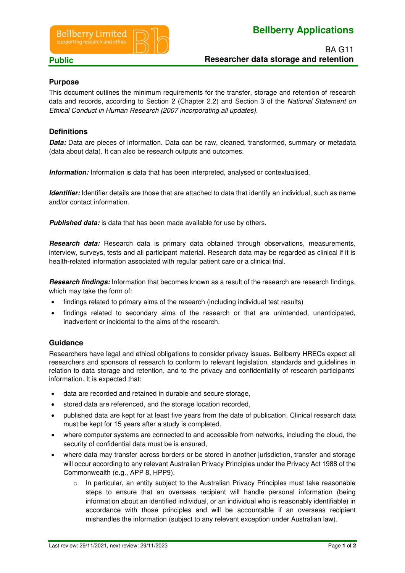

# **Bellberry Applications**

# **Purpose**

This document outlines the minimum requirements for the transfer, storage and retention of research data and records, according to Section 2 (Chapter 2.2) and Section 3 of the National Statement on Ethical Conduct in Human Research (2007 incorporating all updates).

# **Definitions**

**Data:** Data are pieces of information. Data can be raw, cleaned, transformed, summary or metadata (data about data). It can also be research outputs and outcomes.

**Information:** Information is data that has been interpreted, analysed or contextualised.

**Identifier:** Identifier details are those that are attached to data that identify an individual, such as name and/or contact information.

**Published data:** is data that has been made available for use by others.

**Research data:** Research data is primary data obtained through observations, measurements, interview, surveys, tests and all participant material. Research data may be regarded as clinical if it is health-related information associated with regular patient care or a clinical trial.

**Research findings:** Information that becomes known as a result of the research are research findings, which may take the form of:

- findings related to primary aims of the research (including individual test results)
- findings related to secondary aims of the research or that are unintended, unanticipated, inadvertent or incidental to the aims of the research.

### **Guidance**

Researchers have legal and ethical obligations to consider privacy issues. Bellberry HRECs expect all researchers and sponsors of research to conform to relevant legislation, standards and guidelines in relation to data storage and retention, and to the privacy and confidentiality of research participants' information. It is expected that:

- data are recorded and retained in durable and secure storage,
- stored data are referenced, and the storage location recorded,
- published data are kept for at least five years from the date of publication. Clinical research data must be kept for 15 years after a study is completed.
- where computer systems are connected to and accessible from networks, including the cloud, the security of confidential data must be is ensured,
- where data may transfer across borders or be stored in another jurisdiction, transfer and storage will occur according to any relevant Australian Privacy Principles under the Privacy Act 1988 of the Commonwealth (e.g., APP 8, HPP9).
	- $\circ$  In particular, an entity subject to the Australian Privacy Principles must take reasonable steps to ensure that an overseas recipient will handle personal information (being information about an identified individual, or an individual who is reasonably identifiable) in accordance with those principles and will be accountable if an overseas recipient mishandles the information (subject to any relevant exception under Australian law).